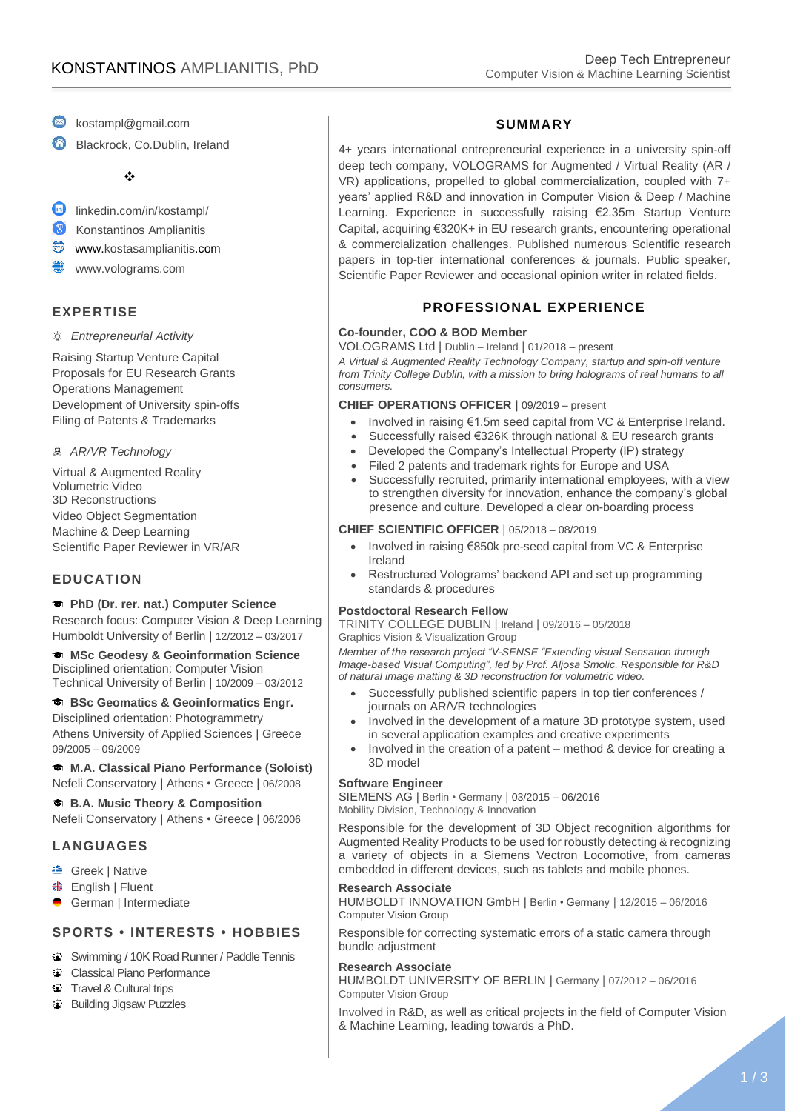- kostampl@gmail.com
- Blackrock, Co.Dublin, Ireland

❖

- $\bullet$ linkedin.com/in/kostampl/
- $\mathbf{C}$ Konstantinos Amplianitis
- € www.kostasamplianitis.com
- ⊕ www.volograms.com

# **EXPERTISE**

*Entrepreneurial Activity*

Raising Startup Venture Capital Proposals for EU Research Grants Operations Management Development of University spin-offs Filing of Patents & Trademarks

#### *AR/VR Technology*

Virtual & Augmented Reality Volumetric Video 3D Reconstructions Video Object Segmentation Machine & Deep Learning Scientific Paper Reviewer in VR/AR

## **EDUCATION**

#### **PhD (Dr. rer. nat.) Computer Science**

Research focus: Computer Vision & Deep Learning Humboldt University of Berlin | 12/2012 – 03/2017

**MSc Geodesy & Geoinformation Science** Disciplined orientation: Computer Vision Technical University of Berlin | 10/2009 – 03/2012

#### **BSc Geomatics & Geoinformatics Engr.**

Disciplined orientation: Photogrammetry Athens University of Applied Sciences | Greece 09/2005 – 09/2009

**M.A. Classical Piano Performance (Soloist)** Nefeli Conservatory | Athens • Greece | 06/2008

**B.A. Music Theory & Composition** Nefeli Conservatory | Athens • Greece | 06/2006

## **LANGUAGES**

- Greek | Native
- English | Fluent
- German | Intermediate

## **SPORTS • INTERESTS • HOBBIES**

- **Swimming / 10K Road Runner / Paddle Tennis**
- Classical Piano Performance
- **Travel & Cultural trips**
- Building Jigsaw Puzzles

## **SUMMARY**

4+ years international entrepreneurial experience in a university spin-off deep tech company, VOLOGRAMS for Augmented / Virtual Reality (AR / VR) applications, propelled to global commercialization, coupled with 7+ years' applied R&D and innovation in Computer Vision & Deep / Machine Learning. Experience in successfully raising €2.35m Startup Venture Capital, acquiring €320Κ+ in EU research grants, encountering operational & commercialization challenges. Published numerous Scientific research papers in top-tier international conferences & journals. Public speaker, Scientific Paper Reviewer and occasional opinion writer in related fields.

# **PROFESSIONAL EXPERIENCE**

#### **Co-founder, COO & BOD Member**

VOLOGRAMS Ltd | Dublin – Ireland | 01/2018 – present

*A Virtual & Augmented Reality Technology Company, startup and spin-off venture from Trinity College Dublin, with a mission to bring holograms of real humans to all consumers.*

#### **CHIEF OPERATIONS OFFICER** | 09/2019 – present

- Involved in raising €1.5m seed capital from VC & Enterprise Ireland.
- Successfully raised €326K through national & EU research grants
- Developed the Company's Intellectual Property (IP) strategy
- Filed 2 patents and trademark rights for Europe and USA
- Successfully recruited, primarily international employees, with a view to strengthen diversity for innovation, enhance the company's global presence and culture. Developed a clear on-boarding process

#### **CHIEF SCIENTIFIC OFFICER** | 05/2018 – 08/2019

- Involved in raising €850k pre-seed capital from VC & Enterprise Ireland
- Restructured Volograms' backend API and set up programming standards & procedures

#### **Postdoctoral Research Fellow**

TRINITY COLLEGE DUBLIN | Ireland | 09/2016 – 05/2018 Graphics Vision & Visualization Group

*Member of the research project "V-SENSE "Extending visual Sensation through Image-based Visual Computing", led by Prof. Aljosa Smolic. Responsible for R&D of natural image matting & 3D reconstruction for volumetric video.*

- Successfully published scientific papers in top tier conferences / journals on AR/VR technologies
- Involved in the development of a mature 3D prototype system, used in several application examples and creative experiments
- Involved in the creation of a patent method & device for creating a 3D model

#### **Software Engineer**

SIEMENS AG | Berlin • Germany | 03/2015 – 06/2016 Mobility Division, Technology & Innovation

Responsible for the development of 3D Object recognition algorithms for Augmented Reality Products to be used for robustly detecting & recognizing a variety of objects in a Siemens Vectron Locomotive, from cameras embedded in different devices, such as tablets and mobile phones.

#### **Research Associate**

HUMBOLDT INNOVATION GmbH | Berlin • Germany | 12/2015 – 06/2016 Computer Vision Group

Responsible for correcting systematic errors of a static camera through bundle adjustment

#### **Research Associate**

HUMBOLDT UNIVERSITY OF BERLIN | Germany | 07/2012 – 06/2016 Computer Vision Group

Involved in R&D, as well as critical projects in the field of Computer Vision & Machine Learning, leading towards a PhD.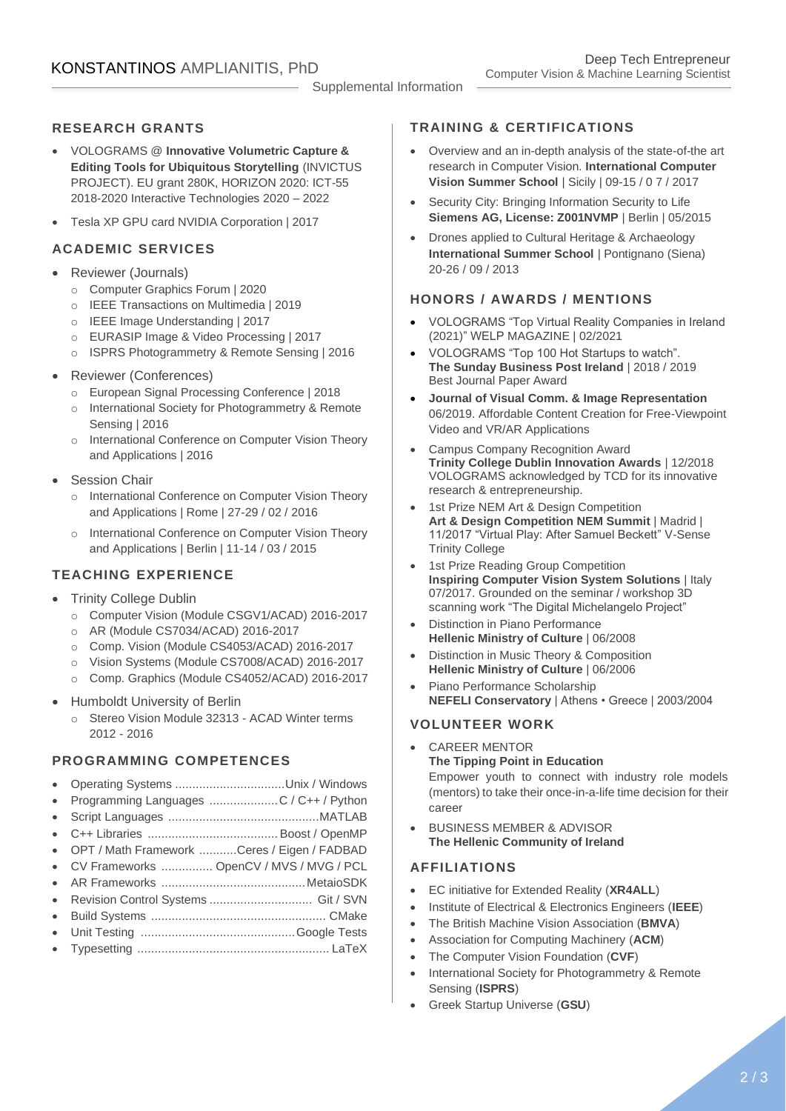#### Supplemental Information

# **RESEARCH GRANTS**

- VOLOGRAMS @ **Innovative Volumetric Capture & Editing Tools for Ubiquitous Storytelling** (INVICTUS PROJECT). EU grant 280K, HORIZON 2020: ICT-55 2018-2020 Interactive Technologies 2020 – 2022
- Tesla XP GPU card NVIDIA Corporation | 2017

## **ACADEMIC SERVICES**

- Reviewer (Journals)
	- o Computer Graphics Forum | 2020
	- o IEEE Transactions on Multimedia | 2019
	- o IEEE Image Understanding | 2017
	- o EURASIP Image & Video Processing | 2017
	- o ISPRS Photogrammetry & Remote Sensing | 2016
- Reviewer (Conferences)
	- o European Signal Processing Conference | 2018
	- o International Society for Photogrammetry & Remote Sensing | 2016
	- o International Conference on Computer Vision Theory and Applications | 2016
- **Session Chair** 
	- o International Conference on Computer Vision Theory and Applications | Rome | 27-29 / 02 / 2016
	- o International Conference on Computer Vision Theory and Applications | Berlin | 11-14 / 03 / 2015

# **TEACHING EXPERIENCE**

- **Trinity College Dublin** 
	- o Computer Vision (Module CSGV1/ACAD) 2016-2017
	- o AR (Module CS7034/ACAD) 2016-2017
	- o Comp. Vision (Module CS4053/ACAD) 2016-2017
	- o Vision Systems (Module CS7008/ACAD) 2016-2017
	- o Comp. Graphics (Module CS4052/ACAD) 2016-2017
- Humboldt University of Berlin
	- o Stereo Vision Module 32313 ACAD Winter terms 2012 - 2016

# **PROGRAMMING COMPETENCES**

- Operating Systems ................................Unix / Windows
- Programming Languages ....................C / C++ / Python
- Script Languages ............................................MATLAB
- C++ Libraries ...................................... Boost / OpenMP
- OPT / Math Framework ...........Ceres / Eigen / FADBAD
- CV Frameworks ............... OpenCV / MVS / MVG / PCL
- AR Frameworks ..........................................MetaioSDK
- Revision Control Systems .............................. Git / SVN
- Build Systems ................................................... CMake • Unit Testing .............................................Google Tests
- Typesetting ........................................................ LaTeX

# **TRAINING & CERTIFICATIONS**

- Overview and an in-depth analysis of the state-of-the art research in Computer Vision. **International Computer Vision Summer School** | Sicily | 09-15 / 0 7 / 2017
- Security City: Bringing Information Security to Life **Siemens AG, License: Z001NVMP** | Berlin | 05/2015
- Drones applied to Cultural Heritage & Archaeology **International Summer School** | Pontignano (Siena) 20-26 / 09 / 2013

# **HONORS / AWARDS / MENTIONS**

- VOLOGRAMS "Top Virtual Reality Companies in Ireland (2021)" WELP MAGAZINE | 02/2021
- VOLOGRAMS "Top 100 Hot Startups to watch". **The Sunday Business Post Ireland** | 2018 / 2019 Best Journal Paper Award
- **Journal of Visual Comm. & Image Representation** 06/2019. Affordable Content Creation for Free-Viewpoint Video and VR/AR Applications
- Campus Company Recognition Award **Trinity College Dublin Innovation Awards** | 12/2018 VOLOGRAMS acknowledged by TCD for its innovative research & entrepreneurship.
- 1st Prize NEM Art & Design Competition **Art & Design Competition NEM Summit** | Madrid | 11/2017 "Virtual Play: After Samuel Beckett" V-Sense Trinity College
- 1st Prize Reading Group Competition **Inspiring Computer Vision System Solutions** | Italy 07/2017. Grounded on the seminar / workshop 3D scanning work "The Digital Michelangelo Project"
- Distinction in Piano Performance **Hellenic Ministry of Culture** | 06/2008
- Distinction in Music Theory & Composition **Hellenic Ministry of Culture** | 06/2006
- Piano Performance Scholarship **NEFELI Conservatory** | Athens • Greece | 2003/2004

## **VOLUNTEER WORK**

- CAREER MENTOR **The Tipping Point in Education** Empower youth to connect with industry role models (mentors) to take their once-in-a-life time decision for their career
- BUSINESS MEMBER & ADVISOR **The Hellenic Community of Ireland**

# **AFFILIATIONS**

- EC initiative for Extended Reality (**XR4ALL**)
- Institute of Electrical & Electronics Engineers (**IEEE**)
- The British Machine Vision Association (**BMVA**)
- Association for Computing Machinery (**ACM**)
- The Computer Vision Foundation (**CVF**)
- International Society for Photogrammetry & Remote Sensing (**ISPRS**)
- Greek Startup Universe (**GSU**)